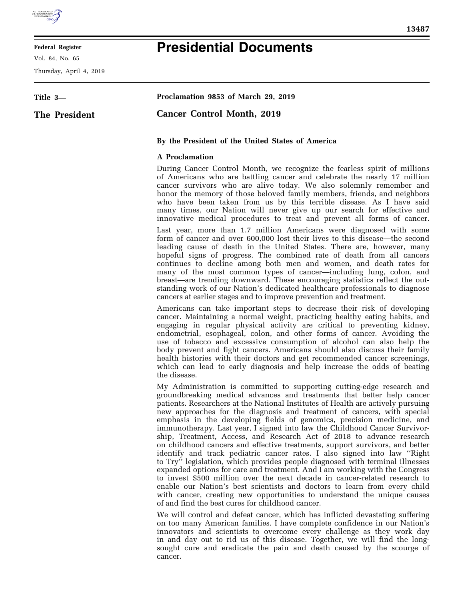

## **Federal Register**

Vol. 84, No. 65

Thursday, April 4, 2019

## **Presidential Documents**

| Title 3-             | Proclamation 9853 of March 29, 2019                                                                                                                                                                                                                                                                                                                                                                                                                                                                                                                                                                                                                                                                           |
|----------------------|---------------------------------------------------------------------------------------------------------------------------------------------------------------------------------------------------------------------------------------------------------------------------------------------------------------------------------------------------------------------------------------------------------------------------------------------------------------------------------------------------------------------------------------------------------------------------------------------------------------------------------------------------------------------------------------------------------------|
| <b>The President</b> | <b>Cancer Control Month, 2019</b>                                                                                                                                                                                                                                                                                                                                                                                                                                                                                                                                                                                                                                                                             |
|                      | By the President of the United States of America                                                                                                                                                                                                                                                                                                                                                                                                                                                                                                                                                                                                                                                              |
|                      | <b>A</b> Proclamation                                                                                                                                                                                                                                                                                                                                                                                                                                                                                                                                                                                                                                                                                         |
|                      | During Cancer Control Month, we recognize the fearless spirit of millions<br>of Americans who are battling cancer and celebrate the nearly 17 million<br>cancer survivors who are alive today. We also solemnly remember and<br>honor the memory of those beloved family members, friends, and neighbors<br>who have been taken from us by this terrible disease. As I have said<br>many times, our Nation will never give up our search for effective and<br>innovative medical procedures to treat and prevent all forms of cancer.                                                                                                                                                                         |
|                      | Last year, more than 1.7 million Americans were diagnosed with some<br>form of cancer and over 600,000 lost their lives to this disease—the second<br>leading cause of death in the United States. There are, however, many<br>hopeful signs of progress. The combined rate of death from all cancers<br>continues to decline among both men and women, and death rates for<br>many of the most common types of cancer—including lung, colon, and<br>breast—are trending downward. These encouraging statistics reflect the out-<br>standing work of our Nation's dedicated healthcare professionals to diagnose<br>cancers at earlier stages and to improve prevention and treatment.                        |
|                      | Americans can take important steps to decrease their risk of developing<br>cancer. Maintaining a normal weight, practicing healthy eating habits, and<br>engaging in regular physical activity are critical to preventing kidney,<br>endometrial, esophageal, colon, and other forms of cancer. Avoiding the<br>use of tobacco and excessive consumption of alcohol can also help the<br>body prevent and fight cancers. Americans should also discuss their family<br>health histories with their doctors and get recommended cancer screenings,<br>which can lead to early diagnosis and help increase the odds of beating<br>the disease.                                                                  |
|                      | My Administration is committed to supporting cutting-edge research and<br>groundbreaking medical advances and treatments that better help cancer<br>patients. Researchers at the National Institutes of Health are actively pursuing<br>new approaches for the diagnosis and treatment of cancers, with special<br>emphasis in the developing fields of genomics, precision medicine, and<br>immunotherapy. Last year, I signed into law the Childhood Cancer Survivor-<br>ship, Treatment, Access, and Research Act of 2018 to advance research<br>on childhood cancers and effective treatments, support survivors, and better<br>identify and track pediatric cancer rates. I also signed into law "Right" |

to Try'' legislation, which provides people diagnosed with terminal illnesses expanded options for care and treatment. And I am working with the Congress to invest \$500 million over the next decade in cancer-related research to enable our Nation's best scientists and doctors to learn from every child with cancer, creating new opportunities to understand the unique causes of and find the best cures for childhood cancer.

We will control and defeat cancer, which has inflicted devastating suffering on too many American families. I have complete confidence in our Nation's innovators and scientists to overcome every challenge as they work day in and day out to rid us of this disease. Together, we will find the longsought cure and eradicate the pain and death caused by the scourge of cancer.